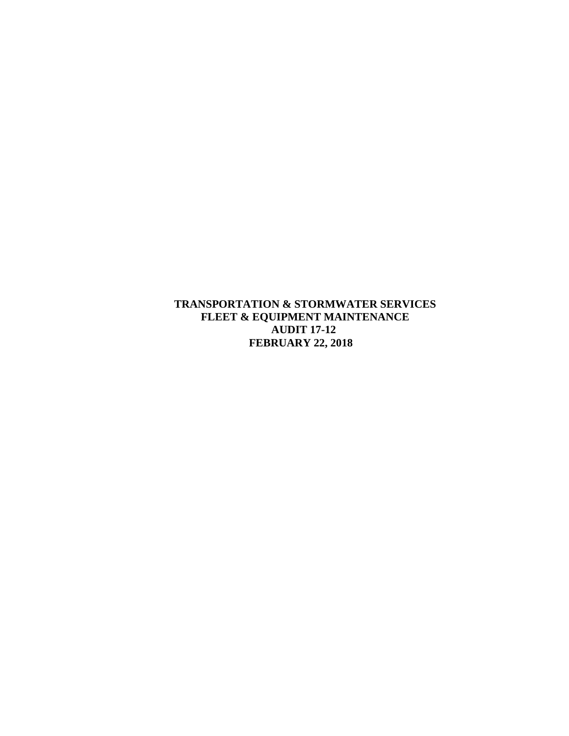**TRANSPORTATION & STORMWATER SERVICES FLEET & EQUIPMENT MAINTENANCE AUDIT 17-12 FEBRUARY 22, 2018**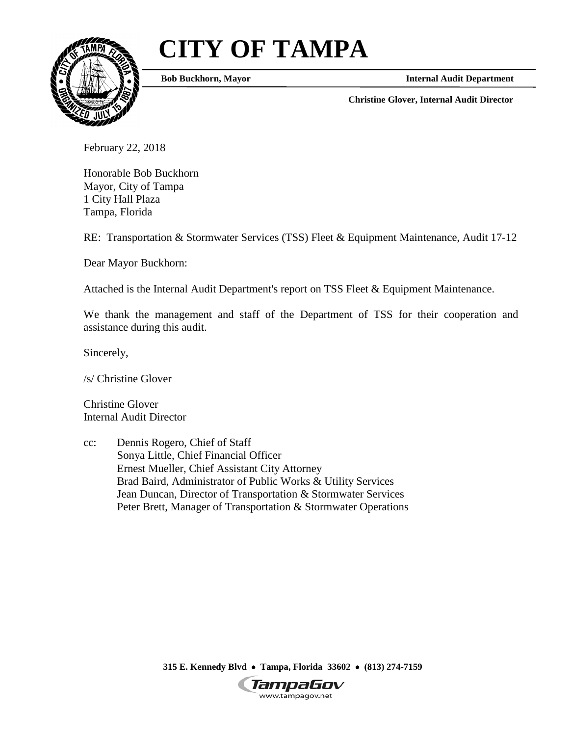# **CITY OF TAMPA**



**Bob Buckhorn, Mayor**

**Internal Audit Department**

**Christine Glover, Internal Audit Director**

February 22, 2018

Honorable Bob Buckhorn Mayor, City of Tampa 1 City Hall Plaza Tampa, Florida

RE: Transportation & Stormwater Services (TSS) Fleet & Equipment Maintenance, Audit 17-12

Dear Mayor Buckhorn:

Attached is the Internal Audit Department's report on TSS Fleet & Equipment Maintenance.

We thank the management and staff of the Department of TSS for their cooperation and assistance during this audit.

Sincerely,

/s/ Christine Glover

Christine Glover Internal Audit Director

cc: Dennis Rogero, Chief of Staff Sonya Little, Chief Financial Officer Ernest Mueller, Chief Assistant City Attorney Brad Baird, Administrator of Public Works & Utility Services Jean Duncan, Director of Transportation & Stormwater Services Peter Brett, Manager of Transportation & Stormwater Operations

**315 E. Kennedy Blvd** • **Tampa, Florida 33602** • **(813) 274-7159**

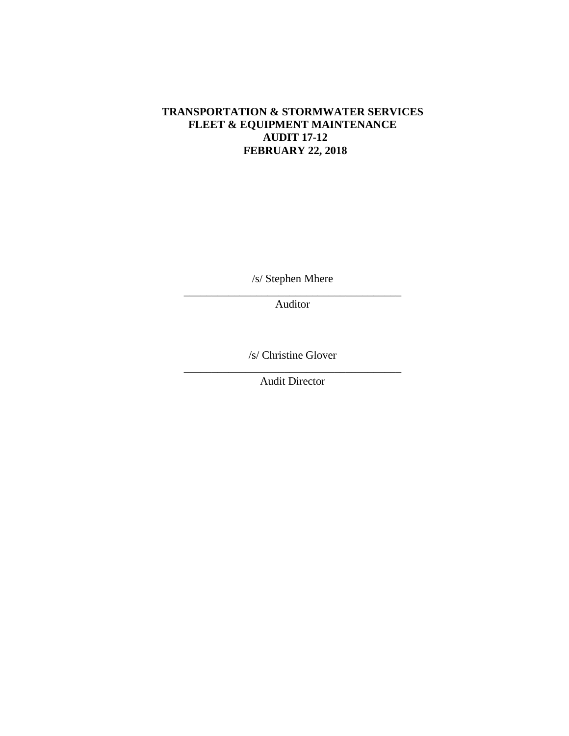# **TRANSPORTATION & STORMWATER SERVICES FLEET & EQUIPMENT MAINTENANCE AUDIT 17-12 FEBRUARY 22, 2018**

/s/ Stephen Mhere

\_\_\_\_\_\_\_\_\_\_\_\_\_\_\_\_\_\_\_\_\_\_\_\_\_\_\_\_\_\_\_\_\_\_\_\_\_\_\_ Auditor

/s/ Christine Glover

\_\_\_\_\_\_\_\_\_\_\_\_\_\_\_\_\_\_\_\_\_\_\_\_\_\_\_\_\_\_\_\_\_\_\_\_\_\_\_ Audit Director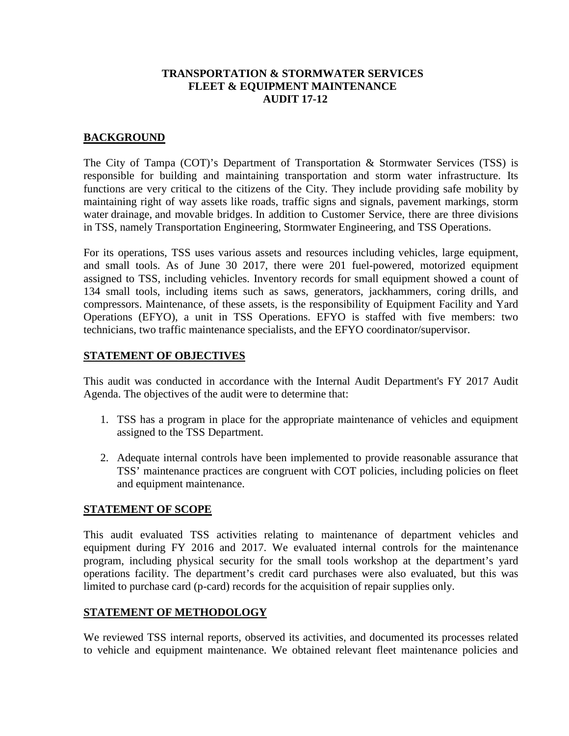#### **TRANSPORTATION & STORMWATER SERVICES FLEET & EQUIPMENT MAINTENANCE AUDIT 17-12**

#### **BACKGROUND**

The City of Tampa (COT)'s Department of Transportation & Stormwater Services (TSS) is responsible for building and maintaining transportation and storm water infrastructure. Its functions are very critical to the citizens of the City. They include providing safe mobility by maintaining right of way assets like roads, traffic signs and signals, pavement markings, storm water drainage, and movable bridges. In addition to Customer Service, there are three divisions in TSS, namely Transportation Engineering, Stormwater Engineering, and TSS Operations.

For its operations, TSS uses various assets and resources including vehicles, large equipment, and small tools. As of June 30 2017, there were 201 fuel-powered, motorized equipment assigned to TSS, including vehicles. Inventory records for small equipment showed a count of 134 small tools, including items such as saws, generators, jackhammers, coring drills, and compressors. Maintenance, of these assets, is the responsibility of Equipment Facility and Yard Operations (EFYO), a unit in TSS Operations. EFYO is staffed with five members: two technicians, two traffic maintenance specialists, and the EFYO coordinator/supervisor.

#### **STATEMENT OF OBJECTIVES**

This audit was conducted in accordance with the Internal Audit Department's FY 2017 Audit Agenda. The objectives of the audit were to determine that:

- 1. TSS has a program in place for the appropriate maintenance of vehicles and equipment assigned to the TSS Department.
- 2. Adequate internal controls have been implemented to provide reasonable assurance that TSS' maintenance practices are congruent with COT policies, including policies on fleet and equipment maintenance.

#### **STATEMENT OF SCOPE**

This audit evaluated TSS activities relating to maintenance of department vehicles and equipment during FY 2016 and 2017. We evaluated internal controls for the maintenance program, including physical security for the small tools workshop at the department's yard operations facility. The department's credit card purchases were also evaluated, but this was limited to purchase card (p-card) records for the acquisition of repair supplies only.

## **STATEMENT OF METHODOLOGY**

We reviewed TSS internal reports, observed its activities, and documented its processes related to vehicle and equipment maintenance. We obtained relevant fleet maintenance policies and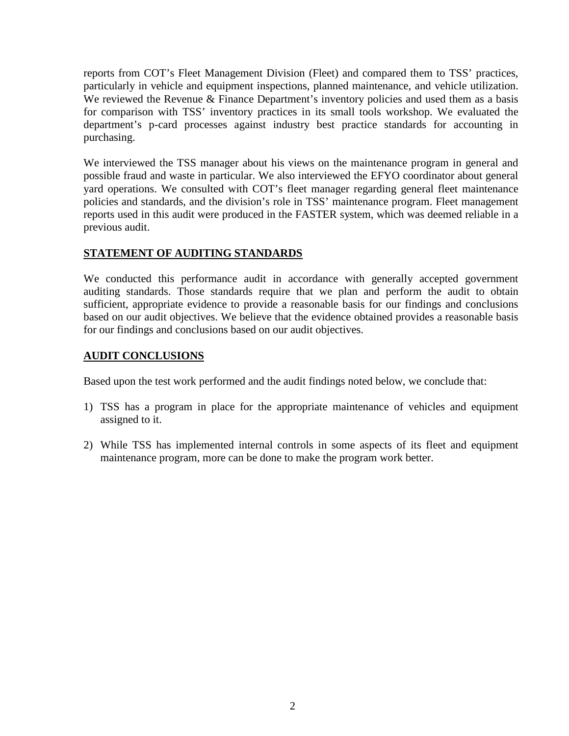reports from COT's Fleet Management Division (Fleet) and compared them to TSS' practices, particularly in vehicle and equipment inspections, planned maintenance, and vehicle utilization. We reviewed the Revenue & Finance Department's inventory policies and used them as a basis for comparison with TSS' inventory practices in its small tools workshop. We evaluated the department's p-card processes against industry best practice standards for accounting in purchasing.

We interviewed the TSS manager about his views on the maintenance program in general and possible fraud and waste in particular. We also interviewed the EFYO coordinator about general yard operations. We consulted with COT's fleet manager regarding general fleet maintenance policies and standards, and the division's role in TSS' maintenance program. Fleet management reports used in this audit were produced in the FASTER system, which was deemed reliable in a previous audit.

# **STATEMENT OF AUDITING STANDARDS**

We conducted this performance audit in accordance with generally accepted government auditing standards. Those standards require that we plan and perform the audit to obtain sufficient, appropriate evidence to provide a reasonable basis for our findings and conclusions based on our audit objectives. We believe that the evidence obtained provides a reasonable basis for our findings and conclusions based on our audit objectives.

## **AUDIT CONCLUSIONS**

Based upon the test work performed and the audit findings noted below, we conclude that:

- 1) TSS has a program in place for the appropriate maintenance of vehicles and equipment assigned to it.
- 2) While TSS has implemented internal controls in some aspects of its fleet and equipment maintenance program, more can be done to make the program work better.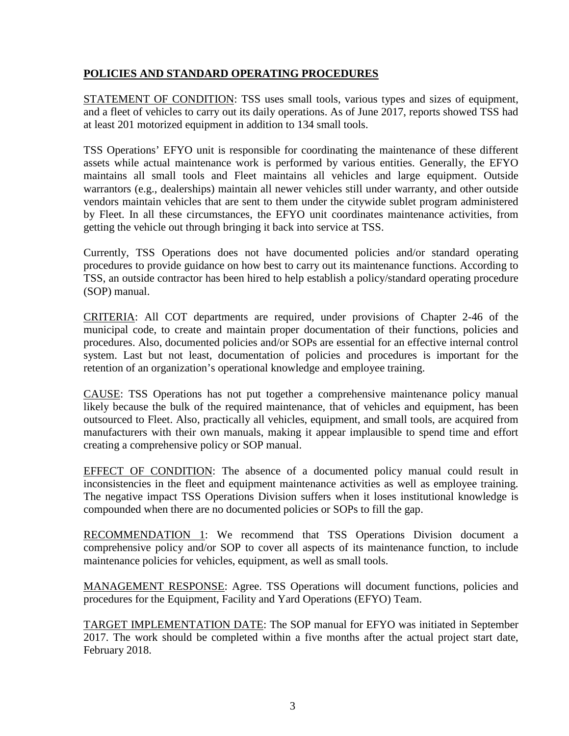# **POLICIES AND STANDARD OPERATING PROCEDURES**

STATEMENT OF CONDITION: TSS uses small tools, various types and sizes of equipment, and a fleet of vehicles to carry out its daily operations. As of June 2017, reports showed TSS had at least 201 motorized equipment in addition to 134 small tools.

TSS Operations' EFYO unit is responsible for coordinating the maintenance of these different assets while actual maintenance work is performed by various entities. Generally, the EFYO maintains all small tools and Fleet maintains all vehicles and large equipment. Outside warrantors (e.g., dealerships) maintain all newer vehicles still under warranty, and other outside vendors maintain vehicles that are sent to them under the citywide sublet program administered by Fleet. In all these circumstances, the EFYO unit coordinates maintenance activities, from getting the vehicle out through bringing it back into service at TSS.

Currently, TSS Operations does not have documented policies and/or standard operating procedures to provide guidance on how best to carry out its maintenance functions. According to TSS, an outside contractor has been hired to help establish a policy/standard operating procedure (SOP) manual.

CRITERIA: All COT departments are required, under provisions of Chapter 2-46 of the municipal code, to create and maintain proper documentation of their functions, policies and procedures. Also, documented policies and/or SOPs are essential for an effective internal control system. Last but not least, documentation of policies and procedures is important for the retention of an organization's operational knowledge and employee training.

CAUSE: TSS Operations has not put together a comprehensive maintenance policy manual likely because the bulk of the required maintenance, that of vehicles and equipment, has been outsourced to Fleet. Also, practically all vehicles, equipment, and small tools, are acquired from manufacturers with their own manuals, making it appear implausible to spend time and effort creating a comprehensive policy or SOP manual.

EFFECT OF CONDITION: The absence of a documented policy manual could result in inconsistencies in the fleet and equipment maintenance activities as well as employee training. The negative impact TSS Operations Division suffers when it loses institutional knowledge is compounded when there are no documented policies or SOPs to fill the gap.

RECOMMENDATION 1: We recommend that TSS Operations Division document a comprehensive policy and/or SOP to cover all aspects of its maintenance function, to include maintenance policies for vehicles, equipment, as well as small tools.

MANAGEMENT RESPONSE: Agree. TSS Operations will document functions, policies and procedures for the Equipment, Facility and Yard Operations (EFYO) Team.

TARGET IMPLEMENTATION DATE: The SOP manual for EFYO was initiated in September 2017. The work should be completed within a five months after the actual project start date, February 2018.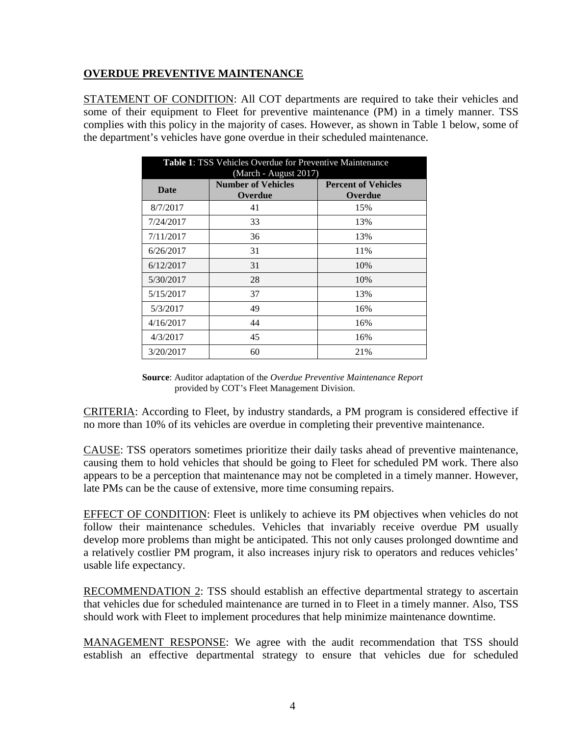## **OVERDUE PREVENTIVE MAINTENANCE**

STATEMENT OF CONDITION: All COT departments are required to take their vehicles and some of their equipment to Fleet for preventive maintenance (PM) in a timely manner. TSS complies with this policy in the majority of cases. However, as shown in Table 1 below, some of the department's vehicles have gone overdue in their scheduled maintenance.

| <b>Table 1: TSS Vehicles Overdue for Preventive Maintenance</b> |                                                               |                                       |
|-----------------------------------------------------------------|---------------------------------------------------------------|---------------------------------------|
| <b>Date</b>                                                     | (March - August 2017)<br><b>Number of Vehicles</b><br>Overdue | <b>Percent of Vehicles</b><br>Overdue |
| 8/7/2017                                                        | 41                                                            | 15%                                   |
| 7/24/2017                                                       | 33                                                            | 13%                                   |
| 7/11/2017                                                       | 36                                                            | 13%                                   |
| 6/26/2017                                                       | 31                                                            | 11%                                   |
| 6/12/2017                                                       | 31                                                            | 10%                                   |
| 5/30/2017                                                       | 28                                                            | 10%                                   |
| 5/15/2017                                                       | 37                                                            | 13%                                   |
| 5/3/2017                                                        | 49                                                            | 16%                                   |
| 4/16/2017                                                       | 44                                                            | 16%                                   |
| 4/3/2017                                                        | 45                                                            | 16%                                   |
| 3/20/2017                                                       | 60                                                            | 21%                                   |

**Source**: Auditor adaptation of the *Overdue Preventive Maintenance Report* provided by COT's Fleet Management Division.

CRITERIA: According to Fleet, by industry standards, a PM program is considered effective if no more than 10% of its vehicles are overdue in completing their preventive maintenance.

CAUSE: TSS operators sometimes prioritize their daily tasks ahead of preventive maintenance, causing them to hold vehicles that should be going to Fleet for scheduled PM work. There also appears to be a perception that maintenance may not be completed in a timely manner. However, late PMs can be the cause of extensive, more time consuming repairs.

EFFECT OF CONDITION: Fleet is unlikely to achieve its PM objectives when vehicles do not follow their maintenance schedules. Vehicles that invariably receive overdue PM usually develop more problems than might be anticipated. This not only causes prolonged downtime and a relatively costlier PM program, it also increases injury risk to operators and reduces vehicles' usable life expectancy.

RECOMMENDATION 2: TSS should establish an effective departmental strategy to ascertain that vehicles due for scheduled maintenance are turned in to Fleet in a timely manner. Also, TSS should work with Fleet to implement procedures that help minimize maintenance downtime.

MANAGEMENT RESPONSE: We agree with the audit recommendation that TSS should establish an effective departmental strategy to ensure that vehicles due for scheduled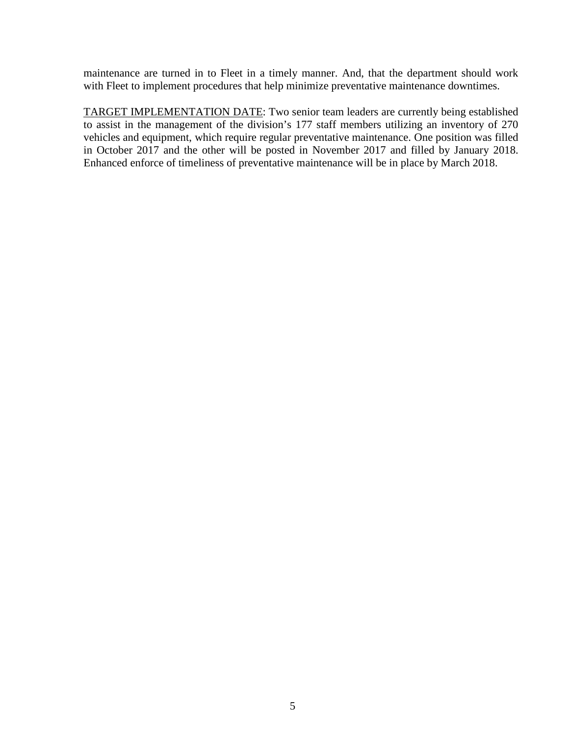maintenance are turned in to Fleet in a timely manner. And, that the department should work with Fleet to implement procedures that help minimize preventative maintenance downtimes.

TARGET IMPLEMENTATION DATE: Two senior team leaders are currently being established to assist in the management of the division's 177 staff members utilizing an inventory of 270 vehicles and equipment, which require regular preventative maintenance. One position was filled in October 2017 and the other will be posted in November 2017 and filled by January 2018. Enhanced enforce of timeliness of preventative maintenance will be in place by March 2018.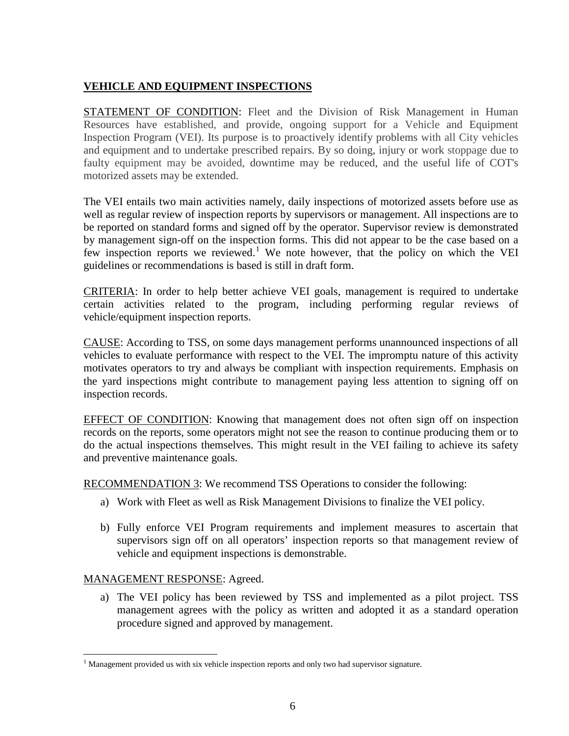# **VEHICLE AND EQUIPMENT INSPECTIONS**

STATEMENT OF CONDITION: Fleet and the Division of Risk Management in Human Resources have established, and provide, ongoing support for a Vehicle and Equipment Inspection Program (VEI). Its purpose is to proactively identify problems with all City vehicles and equipment and to undertake prescribed repairs. By so doing, injury or work stoppage due to faulty equipment may be avoided, downtime may be reduced, and the useful life of COT's motorized assets may be extended.

The VEI entails two main activities namely, daily inspections of motorized assets before use as well as regular review of inspection reports by supervisors or management. All inspections are to be reported on standard forms and signed off by the operator. Supervisor review is demonstrated by management sign-off on the inspection forms. This did not appear to be the case based on a few inspection reports we reviewed.<sup>[1](#page-8-0)</sup> We note however, that the policy on which the VEI guidelines or recommendations is based is still in draft form.

CRITERIA: In order to help better achieve VEI goals, management is required to undertake certain activities related to the program, including performing regular reviews of vehicle/equipment inspection reports.

CAUSE: According to TSS, on some days management performs unannounced inspections of all vehicles to evaluate performance with respect to the VEI. The impromptu nature of this activity motivates operators to try and always be compliant with inspection requirements. Emphasis on the yard inspections might contribute to management paying less attention to signing off on inspection records.

EFFECT OF CONDITION: Knowing that management does not often sign off on inspection records on the reports, some operators might not see the reason to continue producing them or to do the actual inspections themselves. This might result in the VEI failing to achieve its safety and preventive maintenance goals.

RECOMMENDATION 3: We recommend TSS Operations to consider the following:

- a) Work with Fleet as well as Risk Management Divisions to finalize the VEI policy.
- b) Fully enforce VEI Program requirements and implement measures to ascertain that supervisors sign off on all operators' inspection reports so that management review of vehicle and equipment inspections is demonstrable.

## MANAGEMENT RESPONSE: Agreed.

a) The VEI policy has been reviewed by TSS and implemented as a pilot project. TSS management agrees with the policy as written and adopted it as a standard operation procedure signed and approved by management.

<span id="page-8-0"></span><sup>&</sup>lt;sup>1</sup> Management provided us with six vehicle inspection reports and only two had supervisor signature.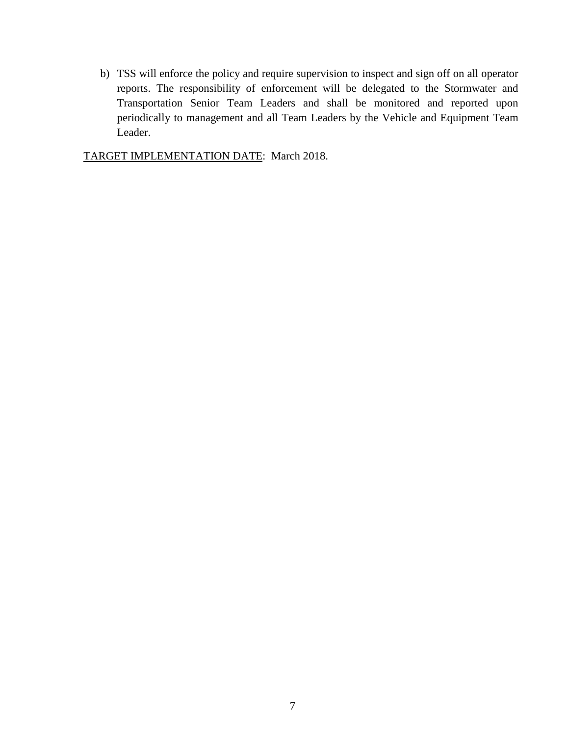b) TSS will enforce the policy and require supervision to inspect and sign off on all operator reports. The responsibility of enforcement will be delegated to the Stormwater and Transportation Senior Team Leaders and shall be monitored and reported upon periodically to management and all Team Leaders by the Vehicle and Equipment Team Leader.

TARGET IMPLEMENTATION DATE: March 2018.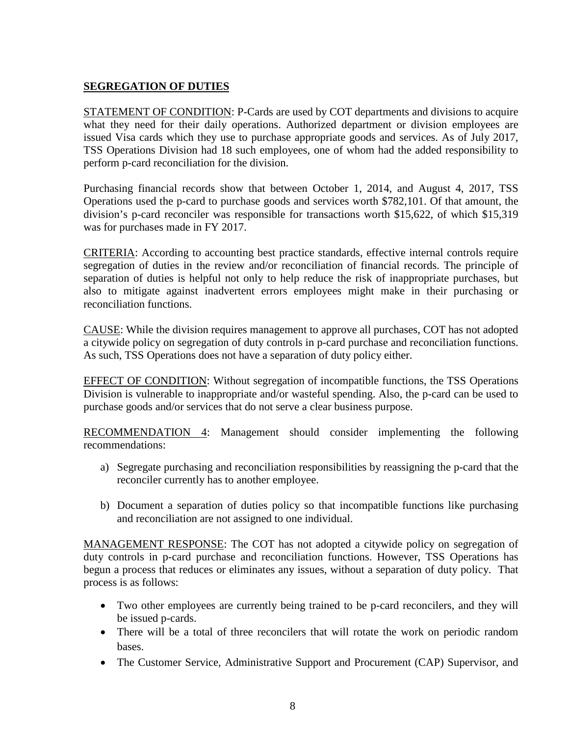# **SEGREGATION OF DUTIES**

STATEMENT OF CONDITION: P-Cards are used by COT departments and divisions to acquire what they need for their daily operations. Authorized department or division employees are issued Visa cards which they use to purchase appropriate goods and services. As of July 2017, TSS Operations Division had 18 such employees, one of whom had the added responsibility to perform p-card reconciliation for the division.

Purchasing financial records show that between October 1, 2014, and August 4, 2017, TSS Operations used the p-card to purchase goods and services worth \$782,101. Of that amount, the division's p-card reconciler was responsible for transactions worth \$15,622, of which \$15,319 was for purchases made in FY 2017.

CRITERIA: According to accounting best practice standards, effective internal controls require segregation of duties in the review and/or reconciliation of financial records. The principle of separation of duties is helpful not only to help reduce the risk of inappropriate purchases, but also to mitigate against inadvertent errors employees might make in their purchasing or reconciliation functions.

CAUSE: While the division requires management to approve all purchases, COT has not adopted a citywide policy on segregation of duty controls in p-card purchase and reconciliation functions. As such, TSS Operations does not have a separation of duty policy either.

EFFECT OF CONDITION: Without segregation of incompatible functions, the TSS Operations Division is vulnerable to inappropriate and/or wasteful spending. Also, the p-card can be used to purchase goods and/or services that do not serve a clear business purpose.

RECOMMENDATION 4: Management should consider implementing the following recommendations:

- a) Segregate purchasing and reconciliation responsibilities by reassigning the p-card that the reconciler currently has to another employee.
- b) Document a separation of duties policy so that incompatible functions like purchasing and reconciliation are not assigned to one individual.

MANAGEMENT RESPONSE: The COT has not adopted a citywide policy on segregation of duty controls in p-card purchase and reconciliation functions. However, TSS Operations has begun a process that reduces or eliminates any issues, without a separation of duty policy. That process is as follows:

- Two other employees are currently being trained to be p-card reconcilers, and they will be issued p-cards.
- There will be a total of three reconcilers that will rotate the work on periodic random bases.
- The Customer Service, Administrative Support and Procurement (CAP) Supervisor, and